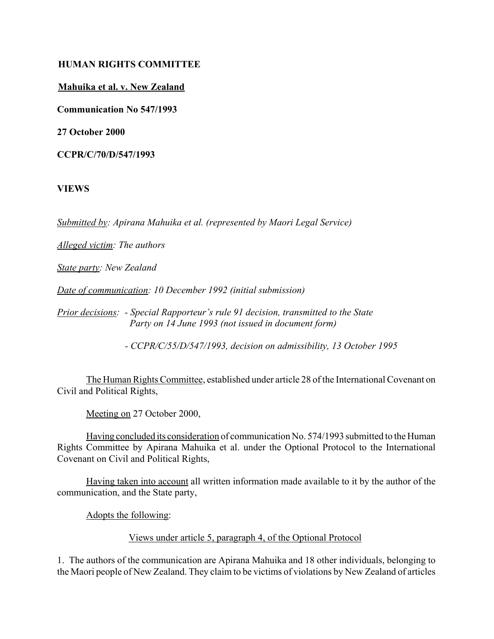## **HUMAN RIGHTS COMMITTEE**

**Mahuika et al. v. New Zealand**

**Communication No 547/1993**

**27 October 2000**

**CCPR/C/70/D/547/1993**

**VIEWS**

*Submitted by: Apirana Mahuika et al. (represented by Maori Legal Service)* 

*Alleged victim: The authors*

*State party: New Zealand*

*Date of communication: 10 December 1992 (initial submission)*

*Prior decisions: - Special Rapporteur's rule 91 decision, transmitted to the State Party on 14 June 1993 (not issued in document form)*

 *- CCPR/C/55/D/547/1993, decision on admissibility, 13 October 1995*

The Human Rights Committee, established under article 28 of the International Covenant on Civil and Political Rights,

Meeting on 27 October 2000,

Having concluded its consideration of communication No. 574/1993 submitted to the Human Rights Committee by Apirana Mahuika et al. under the Optional Protocol to the International Covenant on Civil and Political Rights,

Having taken into account all written information made available to it by the author of the communication, and the State party,

Adopts the following:

Views under article 5, paragraph 4, of the Optional Protocol

1. The authors of the communication are Apirana Mahuika and 18 other individuals, belonging to the Maori people of New Zealand. They claim to be victims of violations by New Zealand of articles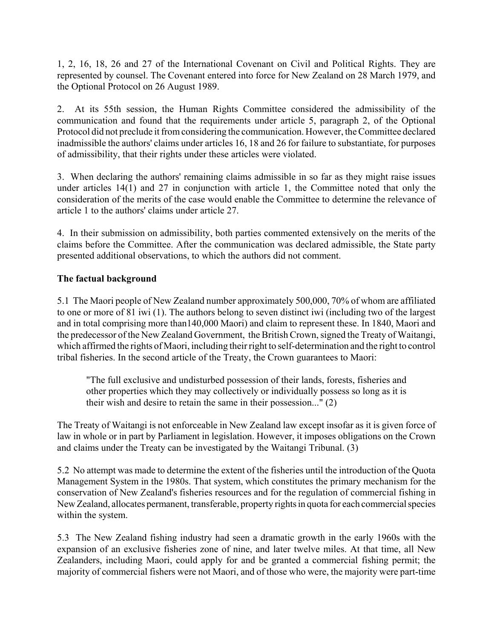1, 2, 16, 18, 26 and 27 of the International Covenant on Civil and Political Rights. They are represented by counsel. The Covenant entered into force for New Zealand on 28 March 1979, and the Optional Protocol on 26 August 1989.

2. At its 55th session, the Human Rights Committee considered the admissibility of the communication and found that the requirements under article 5, paragraph 2, of the Optional Protocol did not preclude it from considering the communication. However, the Committee declared inadmissible the authors' claims under articles 16, 18 and 26 for failure to substantiate, for purposes of admissibility, that their rights under these articles were violated.

3. When declaring the authors' remaining claims admissible in so far as they might raise issues under articles 14(1) and 27 in conjunction with article 1, the Committee noted that only the consideration of the merits of the case would enable the Committee to determine the relevance of article 1 to the authors' claims under article 27.

4. In their submission on admissibility, both parties commented extensively on the merits of the claims before the Committee. After the communication was declared admissible, the State party presented additional observations, to which the authors did not comment.

# **The factual background**

5.1 The Maori people of New Zealand number approximately 500,000, 70% of whom are affiliated to one or more of 81 iwi (1). The authors belong to seven distinct iwi (including two of the largest and in total comprising more than140,000 Maori) and claim to represent these. In 1840, Maori and the predecessor of the New Zealand Government, the British Crown, signed the Treaty of Waitangi, which affirmed the rights of Maori, including their right to self-determination and the right to control tribal fisheries. In the second article of the Treaty, the Crown guarantees to Maori:

"The full exclusive and undisturbed possession of their lands, forests, fisheries and other properties which they may collectively or individually possess so long as it is their wish and desire to retain the same in their possession..." (2)

The Treaty of Waitangi is not enforceable in New Zealand law except insofar as it is given force of law in whole or in part by Parliament in legislation. However, it imposes obligations on the Crown and claims under the Treaty can be investigated by the Waitangi Tribunal. (3)

5.2 No attempt was made to determine the extent of the fisheries until the introduction of the Quota Management System in the 1980s. That system, which constitutes the primary mechanism for the conservation of New Zealand's fisheries resources and for the regulation of commercial fishing in New Zealand, allocates permanent, transferable, property rights in quota for each commercial species within the system.

5.3 The New Zealand fishing industry had seen a dramatic growth in the early 1960s with the expansion of an exclusive fisheries zone of nine, and later twelve miles. At that time, all New Zealanders, including Maori, could apply for and be granted a commercial fishing permit; the majority of commercial fishers were not Maori, and of those who were, the majority were part-time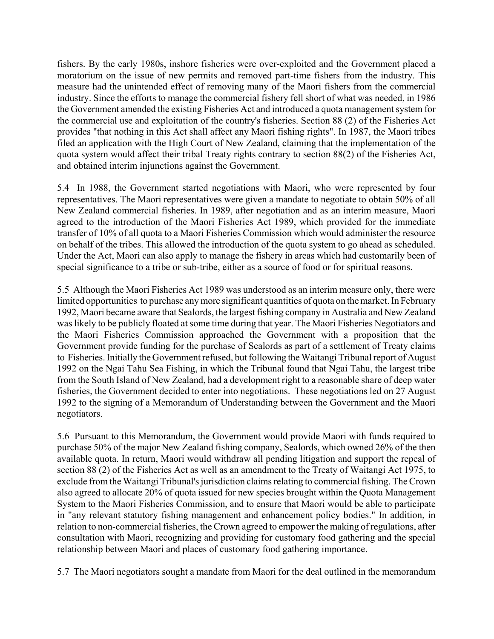fishers. By the early 1980s, inshore fisheries were over-exploited and the Government placed a moratorium on the issue of new permits and removed part-time fishers from the industry. This measure had the unintended effect of removing many of the Maori fishers from the commercial industry. Since the efforts to manage the commercial fishery fell short of what was needed, in 1986 the Government amended the existing Fisheries Act and introduced a quota management system for the commercial use and exploitation of the country's fisheries. Section 88 (2) of the Fisheries Act provides "that nothing in this Act shall affect any Maori fishing rights". In 1987, the Maori tribes filed an application with the High Court of New Zealand, claiming that the implementation of the quota system would affect their tribal Treaty rights contrary to section 88(2) of the Fisheries Act, and obtained interim injunctions against the Government.

5.4 In 1988, the Government started negotiations with Maori, who were represented by four representatives. The Maori representatives were given a mandate to negotiate to obtain 50% of all New Zealand commercial fisheries. In 1989, after negotiation and as an interim measure, Maori agreed to the introduction of the Maori Fisheries Act 1989, which provided for the immediate transfer of 10% of all quota to a Maori Fisheries Commission which would administer the resource on behalf of the tribes. This allowed the introduction of the quota system to go ahead as scheduled. Under the Act, Maori can also apply to manage the fishery in areas which had customarily been of special significance to a tribe or sub-tribe, either as a source of food or for spiritual reasons.

5.5 Although the Maori Fisheries Act 1989 was understood as an interim measure only, there were limited opportunities to purchase any more significant quantities of quota on the market. In February 1992, Maori became aware that Sealords, the largest fishing company in Australia and New Zealand was likely to be publicly floated at some time during that year. The Maori Fisheries Negotiators and the Maori Fisheries Commission approached the Government with a proposition that the Government provide funding for the purchase of Sealords as part of a settlement of Treaty claims to Fisheries. Initially the Government refused, but following the Waitangi Tribunal report of August 1992 on the Ngai Tahu Sea Fishing, in which the Tribunal found that Ngai Tahu, the largest tribe from the South Island of New Zealand, had a development right to a reasonable share of deep water fisheries, the Government decided to enter into negotiations. These negotiations led on 27 August 1992 to the signing of a Memorandum of Understanding between the Government and the Maori negotiators.

5.6 Pursuant to this Memorandum, the Government would provide Maori with funds required to purchase 50% of the major New Zealand fishing company, Sealords, which owned 26% of the then available quota. In return, Maori would withdraw all pending litigation and support the repeal of section 88 (2) of the Fisheries Act as well as an amendment to the Treaty of Waitangi Act 1975, to exclude from the Waitangi Tribunal's jurisdiction claims relating to commercial fishing. The Crown also agreed to allocate 20% of quota issued for new species brought within the Quota Management System to the Maori Fisheries Commission, and to ensure that Maori would be able to participate in "any relevant statutory fishing management and enhancement policy bodies." In addition, in relation to non-commercial fisheries, the Crown agreed to empower the making of regulations, after consultation with Maori, recognizing and providing for customary food gathering and the special relationship between Maori and places of customary food gathering importance.

5.7 The Maori negotiators sought a mandate from Maori for the deal outlined in the memorandum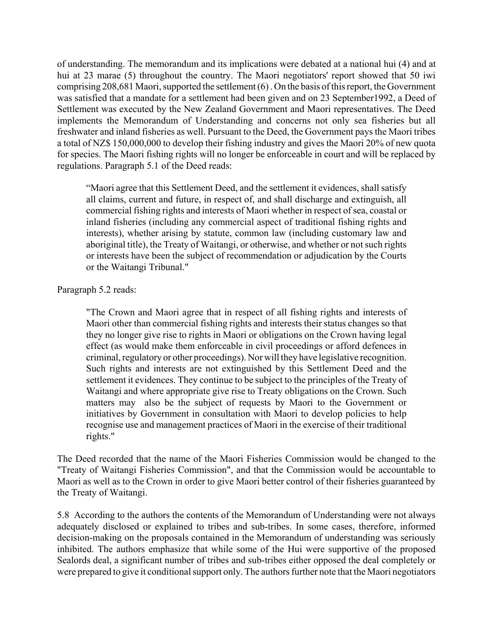of understanding. The memorandum and its implications were debated at a national hui (4) and at hui at 23 marae (5) throughout the country. The Maori negotiators' report showed that 50 iwi comprising 208,681 Maori, supported the settlement (6) . On the basis of this report, the Government was satisfied that a mandate for a settlement had been given and on 23 September1992, a Deed of Settlement was executed by the New Zealand Government and Maori representatives. The Deed implements the Memorandum of Understanding and concerns not only sea fisheries but all freshwater and inland fisheries as well. Pursuant to the Deed, the Government pays the Maori tribes a total of NZ\$ 150,000,000 to develop their fishing industry and gives the Maori 20% of new quota for species. The Maori fishing rights will no longer be enforceable in court and will be replaced by regulations. Paragraph 5.1 of the Deed reads:

ìMaori agree that this Settlement Deed, and the settlement it evidences, shall satisfy all claims, current and future, in respect of, and shall discharge and extinguish, all commercial fishing rights and interests of Maori whether in respect of sea, coastal or inland fisheries (including any commercial aspect of traditional fishing rights and interests), whether arising by statute, common law (including customary law and aboriginal title), the Treaty of Waitangi, or otherwise, and whether or not such rights or interests have been the subject of recommendation or adjudication by the Courts or the Waitangi Tribunal."

#### Paragraph 5.2 reads:

"The Crown and Maori agree that in respect of all fishing rights and interests of Maori other than commercial fishing rights and interests their status changes so that they no longer give rise to rights in Maori or obligations on the Crown having legal effect (as would make them enforceable in civil proceedings or afford defences in criminal, regulatory or other proceedings). Nor will they have legislative recognition. Such rights and interests are not extinguished by this Settlement Deed and the settlement it evidences. They continue to be subject to the principles of the Treaty of Waitangi and where appropriate give rise to Treaty obligations on the Crown. Such matters may also be the subject of requests by Maori to the Government or initiatives by Government in consultation with Maori to develop policies to help recognise use and management practices of Maori in the exercise of their traditional rights."

The Deed recorded that the name of the Maori Fisheries Commission would be changed to the "Treaty of Waitangi Fisheries Commission", and that the Commission would be accountable to Maori as well as to the Crown in order to give Maori better control of their fisheries guaranteed by the Treaty of Waitangi.

5.8 According to the authors the contents of the Memorandum of Understanding were not always adequately disclosed or explained to tribes and sub-tribes. In some cases, therefore, informed decision-making on the proposals contained in the Memorandum of understanding was seriously inhibited. The authors emphasize that while some of the Hui were supportive of the proposed Sealords deal, a significant number of tribes and sub-tribes either opposed the deal completely or were prepared to give it conditional support only. The authors further note that the Maori negotiators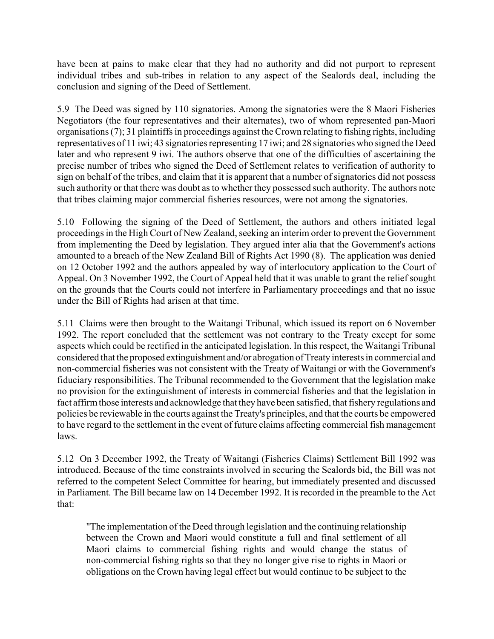have been at pains to make clear that they had no authority and did not purport to represent individual tribes and sub-tribes in relation to any aspect of the Sealords deal, including the conclusion and signing of the Deed of Settlement.

5.9 The Deed was signed by 110 signatories. Among the signatories were the 8 Maori Fisheries Negotiators (the four representatives and their alternates), two of whom represented pan-Maori organisations (7); 31 plaintiffs in proceedings against the Crown relating to fishing rights, including representatives of 11 iwi; 43 signatories representing 17 iwi; and 28 signatories who signed the Deed later and who represent 9 iwi. The authors observe that one of the difficulties of ascertaining the precise number of tribes who signed the Deed of Settlement relates to verification of authority to sign on behalf of the tribes, and claim that it is apparent that a number of signatories did not possess such authority or that there was doubt as to whether they possessed such authority. The authors note that tribes claiming major commercial fisheries resources, were not among the signatories.

5.10 Following the signing of the Deed of Settlement, the authors and others initiated legal proceedings in the High Court of New Zealand, seeking an interim order to prevent the Government from implementing the Deed by legislation. They argued inter alia that the Government's actions amounted to a breach of the New Zealand Bill of Rights Act 1990 (8). The application was denied on 12 October 1992 and the authors appealed by way of interlocutory application to the Court of Appeal. On 3 November 1992, the Court of Appeal held that it was unable to grant the relief sought on the grounds that the Courts could not interfere in Parliamentary proceedings and that no issue under the Bill of Rights had arisen at that time.

5.11 Claims were then brought to the Waitangi Tribunal, which issued its report on 6 November 1992. The report concluded that the settlement was not contrary to the Treaty except for some aspects which could be rectified in the anticipated legislation. In this respect, the Waitangi Tribunal considered that the proposed extinguishment and/or abrogation of Treaty interests in commercial and non-commercial fisheries was not consistent with the Treaty of Waitangi or with the Government's fiduciary responsibilities. The Tribunal recommended to the Government that the legislation make no provision for the extinguishment of interests in commercial fisheries and that the legislation in fact affirm those interests and acknowledge that they have been satisfied, that fishery regulations and policies be reviewable in the courts against the Treaty's principles, and that the courts be empowered to have regard to the settlement in the event of future claims affecting commercial fish management laws.

5.12 On 3 December 1992, the Treaty of Waitangi (Fisheries Claims) Settlement Bill 1992 was introduced. Because of the time constraints involved in securing the Sealords bid, the Bill was not referred to the competent Select Committee for hearing, but immediately presented and discussed in Parliament. The Bill became law on 14 December 1992. It is recorded in the preamble to the Act that:

"The implementation of the Deed through legislation and the continuing relationship between the Crown and Maori would constitute a full and final settlement of all Maori claims to commercial fishing rights and would change the status of non-commercial fishing rights so that they no longer give rise to rights in Maori or obligations on the Crown having legal effect but would continue to be subject to the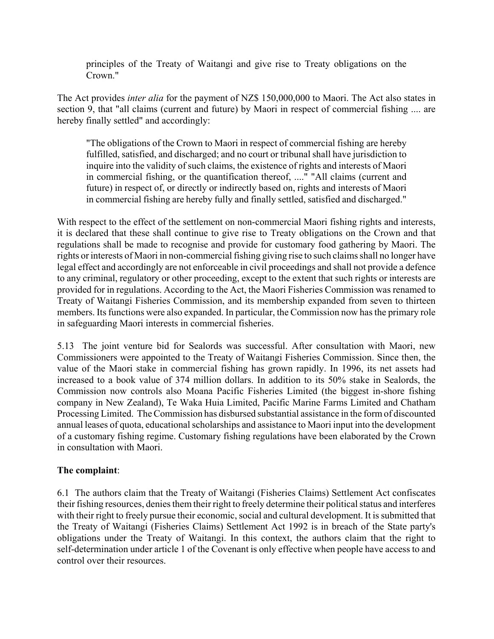principles of the Treaty of Waitangi and give rise to Treaty obligations on the Crown."

The Act provides *inter alia* for the payment of NZ\$ 150,000,000 to Maori. The Act also states in section 9, that "all claims (current and future) by Maori in respect of commercial fishing .... are hereby finally settled" and accordingly:

"The obligations of the Crown to Maori in respect of commercial fishing are hereby fulfilled, satisfied, and discharged; and no court or tribunal shall have jurisdiction to inquire into the validity of such claims, the existence of rights and interests of Maori in commercial fishing, or the quantification thereof, ...." "All claims (current and future) in respect of, or directly or indirectly based on, rights and interests of Maori in commercial fishing are hereby fully and finally settled, satisfied and discharged."

With respect to the effect of the settlement on non-commercial Maori fishing rights and interests, it is declared that these shall continue to give rise to Treaty obligations on the Crown and that regulations shall be made to recognise and provide for customary food gathering by Maori. The rights or interests of Maori in non-commercial fishing giving rise to such claims shall no longer have legal effect and accordingly are not enforceable in civil proceedings and shall not provide a defence to any criminal, regulatory or other proceeding, except to the extent that such rights or interests are provided for in regulations. According to the Act, the Maori Fisheries Commission was renamed to Treaty of Waitangi Fisheries Commission, and its membership expanded from seven to thirteen members. Its functions were also expanded. In particular, the Commission now has the primary role in safeguarding Maori interests in commercial fisheries.

5.13 The joint venture bid for Sealords was successful. After consultation with Maori, new Commissioners were appointed to the Treaty of Waitangi Fisheries Commission. Since then, the value of the Maori stake in commercial fishing has grown rapidly. In 1996, its net assets had increased to a book value of 374 million dollars. In addition to its 50% stake in Sealords, the Commission now controls also Moana Pacific Fisheries Limited (the biggest in-shore fishing company in New Zealand), Te Waka Huia Limited, Pacific Marine Farms Limited and Chatham Processing Limited. The Commission has disbursed substantial assistance in the form of discounted annual leases of quota, educational scholarships and assistance to Maori input into the development of a customary fishing regime. Customary fishing regulations have been elaborated by the Crown in consultation with Maori.

# **The complaint**:

6.1 The authors claim that the Treaty of Waitangi (Fisheries Claims) Settlement Act confiscates their fishing resources, denies them their right to freely determine their political status and interferes with their right to freely pursue their economic, social and cultural development. It is submitted that the Treaty of Waitangi (Fisheries Claims) Settlement Act 1992 is in breach of the State party's obligations under the Treaty of Waitangi. In this context, the authors claim that the right to self-determination under article 1 of the Covenant is only effective when people have access to and control over their resources.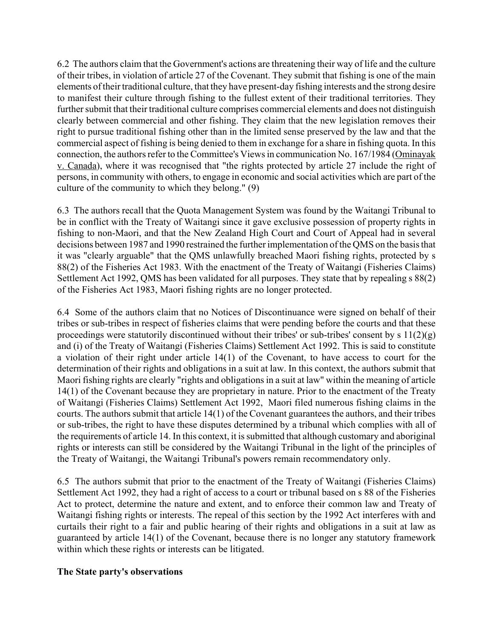6.2 The authors claim that the Government's actions are threatening their way of life and the culture of their tribes, in violation of article 27 of the Covenant. They submit that fishing is one of the main elements of their traditional culture, that they have present-day fishing interests and the strong desire to manifest their culture through fishing to the fullest extent of their traditional territories. They further submit that their traditional culture comprises commercial elements and does not distinguish clearly between commercial and other fishing. They claim that the new legislation removes their right to pursue traditional fishing other than in the limited sense preserved by the law and that the commercial aspect of fishing is being denied to them in exchange for a share in fishing quota. In this connection, the authors refer to the Committee's Views in communication No. 167/1984 (Ominayak v. Canada), where it was recognised that "the rights protected by article 27 include the right of persons, in community with others, to engage in economic and social activities which are part of the culture of the community to which they belong." (9)

6.3 The authors recall that the Quota Management System was found by the Waitangi Tribunal to be in conflict with the Treaty of Waitangi since it gave exclusive possession of property rights in fishing to non-Maori, and that the New Zealand High Court and Court of Appeal had in several decisions between 1987 and 1990 restrained the further implementation of the QMS on the basis that it was "clearly arguable" that the QMS unlawfully breached Maori fishing rights, protected by s 88(2) of the Fisheries Act 1983. With the enactment of the Treaty of Waitangi (Fisheries Claims) Settlement Act 1992, QMS has been validated for all purposes. They state that by repealing s 88(2) of the Fisheries Act 1983, Maori fishing rights are no longer protected.

6.4 Some of the authors claim that no Notices of Discontinuance were signed on behalf of their tribes or sub-tribes in respect of fisheries claims that were pending before the courts and that these proceedings were statutorily discontinued without their tribes' or sub-tribes' consent by s  $11(2)(g)$ and (i) of the Treaty of Waitangi (Fisheries Claims) Settlement Act 1992. This is said to constitute a violation of their right under article 14(1) of the Covenant, to have access to court for the determination of their rights and obligations in a suit at law. In this context, the authors submit that Maori fishing rights are clearly "rights and obligations in a suit at law" within the meaning of article 14(1) of the Covenant because they are proprietary in nature. Prior to the enactment of the Treaty of Waitangi (Fisheries Claims) Settlement Act 1992, Maori filed numerous fishing claims in the courts. The authors submit that article 14(1) of the Covenant guarantees the authors, and their tribes or sub-tribes, the right to have these disputes determined by a tribunal which complies with all of the requirements of article 14. In this context, it is submitted that although customary and aboriginal rights or interests can still be considered by the Waitangi Tribunal in the light of the principles of the Treaty of Waitangi, the Waitangi Tribunal's powers remain recommendatory only.

6.5 The authors submit that prior to the enactment of the Treaty of Waitangi (Fisheries Claims) Settlement Act 1992, they had a right of access to a court or tribunal based on s 88 of the Fisheries Act to protect, determine the nature and extent, and to enforce their common law and Treaty of Waitangi fishing rights or interests. The repeal of this section by the 1992 Act interferes with and curtails their right to a fair and public hearing of their rights and obligations in a suit at law as guaranteed by article 14(1) of the Covenant, because there is no longer any statutory framework within which these rights or interests can be litigated.

#### **The State party's observations**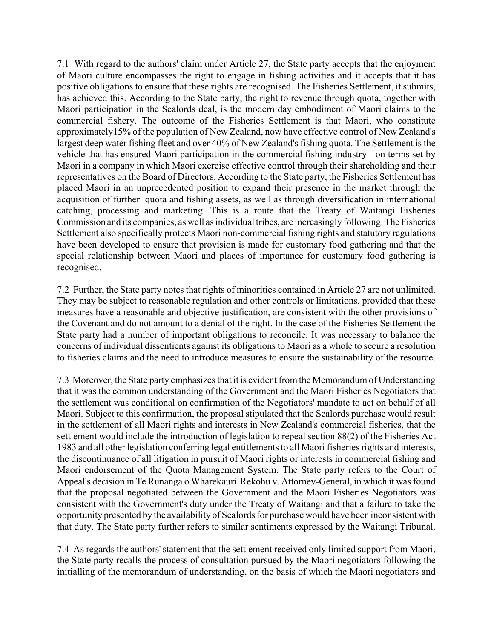7.1 With regard to the authors' claim under Article 27, the State party accepts that the enjoyment of Maori culture encompasses the right to engage in fishing activities and it accepts that it has positive obligations to ensure that these rights are recognised. The Fisheries Settlement, it submits, has achieved this. According to the State party, the right to revenue through quota, together with Maori participation in the Sealords deal, is the modern day embodiment of Maori claims to the commercial fishery. The outcome of the Fisheries Settlement is that Maori, who constitute approximately15% of the population of New Zealand, now have effective control of New Zealand's largest deep water fishing fleet and over 40% of New Zealand's fishing quota. The Settlement is the vehicle that has ensured Maori participation in the commercial fishing industry - on terms set by Maori in a company in which Maori exercise effective control through their shareholding and their representatives on the Board of Directors. According to the State party, the Fisheries Settlement has placed Maori in an unprecedented position to expand their presence in the market through the acquisition of further quota and fishing assets, as well as through diversification in international catching, processing and marketing. This is a route that the Treaty of Waitangi Fisheries Commission and its companies, as well as individual tribes, are increasingly following. The Fisheries Settlement also specifically protects Maori non-commercial fishing rights and statutory regulations have been developed to ensure that provision is made for customary food gathering and that the special relationship between Maori and places of importance for customary food gathering is recognised.

7.2 Further, the State party notes that rights of minorities contained in Article 27 are not unlimited. They may be subject to reasonable regulation and other controls or limitations, provided that these measures have a reasonable and objective justification, are consistent with the other provisions of the Covenant and do not amount to a denial of the right. In the case of the Fisheries Settlement the State party had a number of important obligations to reconcile. It was necessary to balance the concerns of individual dissentients against its obligations to Maori as a whole to secure a resolution to fisheries claims and the need to introduce measures to ensure the sustainability of the resource.

7.3 Moreover, the State party emphasizes that it is evident from the Memorandum of Understanding that it was the common understanding of the Government and the Maori Fisheries Negotiators that the settlement was conditional on confirmation of the Negotiators' mandate to act on behalf of all Maori. Subject to this confirmation, the proposal stipulated that the Sealords purchase would result in the settlement of all Maori rights and interests in New Zealand's commercial fisheries, that the settlement would include the introduction of legislation to repeal section 88(2) of the Fisheries Act 1983 and all other legislation conferring legal entitlements to all Maori fisheries rights and interests, the discontinuance of all litigation in pursuit of Maori rights or interests in commercial fishing and Maori endorsement of the Quota Management System. The State party refers to the Court of Appeal's decision in Te Runanga o Wharekauri Rekohu v. Attorney-General, in which it was found that the proposal negotiated between the Government and the Maori Fisheries Negotiators was consistent with the Government's duty under the Treaty of Waitangi and that a failure to take the opportunity presented by the availability of Sealords for purchase would have been inconsistent with that duty. The State party further refers to similar sentiments expressed by the Waitangi Tribunal.

7.4 As regards the authors' statement that the settlement received only limited support from Maori, the State party recalls the process of consultation pursued by the Maori negotiators following the initialling of the memorandum of understanding, on the basis of which the Maori negotiators and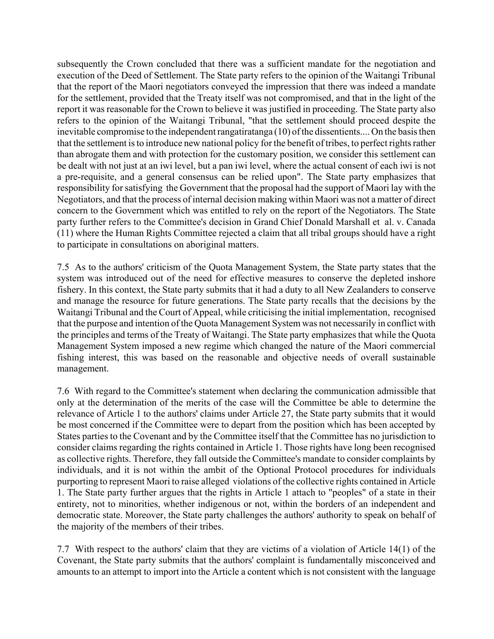subsequently the Crown concluded that there was a sufficient mandate for the negotiation and execution of the Deed of Settlement. The State party refers to the opinion of the Waitangi Tribunal that the report of the Maori negotiators conveyed the impression that there was indeed a mandate for the settlement, provided that the Treaty itself was not compromised, and that in the light of the report it was reasonable for the Crown to believe it was justified in proceeding. The State party also refers to the opinion of the Waitangi Tribunal, "that the settlement should proceed despite the inevitable compromise to the independent rangatiratanga (10) of the dissentients.... On the basis then that the settlement is to introduce new national policy for the benefit of tribes, to perfect rights rather than abrogate them and with protection for the customary position, we consider this settlement can be dealt with not just at an iwi level, but a pan iwi level, where the actual consent of each iwi is not a pre-requisite, and a general consensus can be relied upon". The State party emphasizes that responsibility for satisfying the Government that the proposal had the support of Maori lay with the Negotiators, and that the process of internal decision making within Maori was not a matter of direct concern to the Government which was entitled to rely on the report of the Negotiators. The State party further refers to the Committee's decision in Grand Chief Donald Marshall et al. v. Canada (11) where the Human Rights Committee rejected a claim that all tribal groups should have a right to participate in consultations on aboriginal matters.

7.5 As to the authors' criticism of the Quota Management System, the State party states that the system was introduced out of the need for effective measures to conserve the depleted inshore fishery. In this context, the State party submits that it had a duty to all New Zealanders to conserve and manage the resource for future generations. The State party recalls that the decisions by the Waitangi Tribunal and the Court of Appeal, while criticising the initial implementation, recognised that the purpose and intention of the Quota Management System was not necessarily in conflict with the principles and terms of the Treaty of Waitangi. The State party emphasizes that while the Quota Management System imposed a new regime which changed the nature of the Maori commercial fishing interest, this was based on the reasonable and objective needs of overall sustainable management.

7.6 With regard to the Committee's statement when declaring the communication admissible that only at the determination of the merits of the case will the Committee be able to determine the relevance of Article 1 to the authors' claims under Article 27, the State party submits that it would be most concerned if the Committee were to depart from the position which has been accepted by States parties to the Covenant and by the Committee itself that the Committee has no jurisdiction to consider claims regarding the rights contained in Article 1. Those rights have long been recognised as collective rights. Therefore, they fall outside the Committee's mandate to consider complaints by individuals, and it is not within the ambit of the Optional Protocol procedures for individuals purporting to represent Maori to raise alleged violations of the collective rights contained in Article 1. The State party further argues that the rights in Article 1 attach to "peoples" of a state in their entirety, not to minorities, whether indigenous or not, within the borders of an independent and democratic state. Moreover, the State party challenges the authors' authority to speak on behalf of the majority of the members of their tribes.

7.7 With respect to the authors' claim that they are victims of a violation of Article 14(1) of the Covenant, the State party submits that the authors' complaint is fundamentally misconceived and amounts to an attempt to import into the Article a content which is not consistent with the language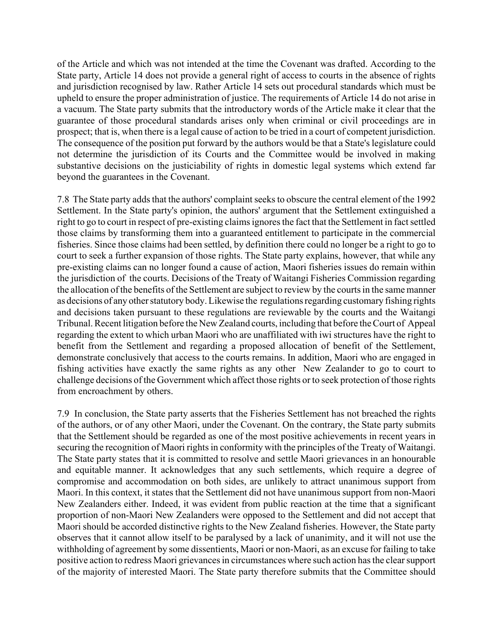of the Article and which was not intended at the time the Covenant was drafted. According to the State party, Article 14 does not provide a general right of access to courts in the absence of rights and jurisdiction recognised by law. Rather Article 14 sets out procedural standards which must be upheld to ensure the proper administration of justice. The requirements of Article 14 do not arise in a vacuum. The State party submits that the introductory words of the Article make it clear that the guarantee of those procedural standards arises only when criminal or civil proceedings are in prospect; that is, when there is a legal cause of action to be tried in a court of competent jurisdiction. The consequence of the position put forward by the authors would be that a State's legislature could not determine the jurisdiction of its Courts and the Committee would be involved in making substantive decisions on the justiciability of rights in domestic legal systems which extend far beyond the guarantees in the Covenant.

7.8 The State party adds that the authors' complaint seeks to obscure the central element of the 1992 Settlement. In the State party's opinion, the authors' argument that the Settlement extinguished a right to go to court in respect of pre-existing claims ignores the fact that the Settlement in fact settled those claims by transforming them into a guaranteed entitlement to participate in the commercial fisheries. Since those claims had been settled, by definition there could no longer be a right to go to court to seek a further expansion of those rights. The State party explains, however, that while any pre-existing claims can no longer found a cause of action, Maori fisheries issues do remain within the jurisdiction of the courts. Decisions of the Treaty of Waitangi Fisheries Commission regarding the allocation of the benefits of the Settlement are subject to review by the courts in the same manner as decisions of any other statutory body. Likewise the regulations regarding customary fishing rights and decisions taken pursuant to these regulations are reviewable by the courts and the Waitangi Tribunal. Recent litigation before the New Zealand courts, including that before the Court of Appeal regarding the extent to which urban Maori who are unaffiliated with iwi structures have the right to benefit from the Settlement and regarding a proposed allocation of benefit of the Settlement, demonstrate conclusively that access to the courts remains. In addition, Maori who are engaged in fishing activities have exactly the same rights as any other New Zealander to go to court to challenge decisions of the Government which affect those rights or to seek protection of those rights from encroachment by others.

7.9 In conclusion, the State party asserts that the Fisheries Settlement has not breached the rights of the authors, or of any other Maori, under the Covenant. On the contrary, the State party submits that the Settlement should be regarded as one of the most positive achievements in recent years in securing the recognition of Maori rights in conformity with the principles of the Treaty of Waitangi. The State party states that it is committed to resolve and settle Maori grievances in an honourable and equitable manner. It acknowledges that any such settlements, which require a degree of compromise and accommodation on both sides, are unlikely to attract unanimous support from Maori. In this context, it states that the Settlement did not have unanimous support from non-Maori New Zealanders either. Indeed, it was evident from public reaction at the time that a significant proportion of non-Maori New Zealanders were opposed to the Settlement and did not accept that Maori should be accorded distinctive rights to the New Zealand fisheries. However, the State party observes that it cannot allow itself to be paralysed by a lack of unanimity, and it will not use the withholding of agreement by some dissentients, Maori or non-Maori, as an excuse for failing to take positive action to redress Maori grievances in circumstances where such action has the clear support of the majority of interested Maori. The State party therefore submits that the Committee should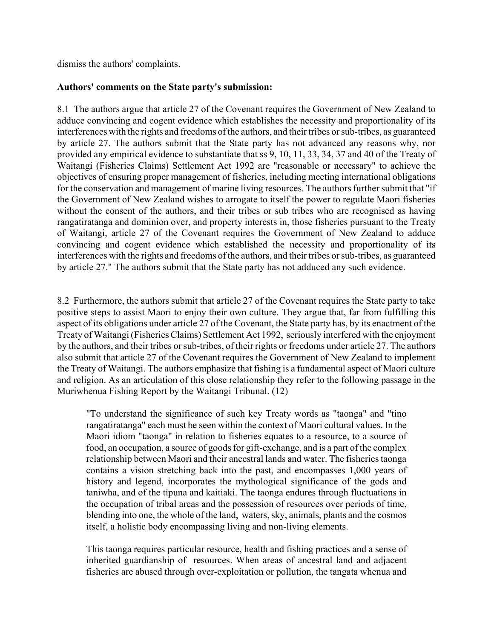dismiss the authors' complaints.

### **Authors' comments on the State party's submission:**

8.1 The authors argue that article 27 of the Covenant requires the Government of New Zealand to adduce convincing and cogent evidence which establishes the necessity and proportionality of its interferences with the rights and freedoms of the authors, and their tribes or sub-tribes, as guaranteed by article 27. The authors submit that the State party has not advanced any reasons why, nor provided any empirical evidence to substantiate that ss 9, 10, 11, 33, 34, 37 and 40 of the Treaty of Waitangi (Fisheries Claims) Settlement Act 1992 are "reasonable or necessary" to achieve the objectives of ensuring proper management of fisheries, including meeting international obligations for the conservation and management of marine living resources. The authors further submit that "if the Government of New Zealand wishes to arrogate to itself the power to regulate Maori fisheries without the consent of the authors, and their tribes or sub tribes who are recognised as having rangatiratanga and dominion over, and property interests in, those fisheries pursuant to the Treaty of Waitangi, article 27 of the Covenant requires the Government of New Zealand to adduce convincing and cogent evidence which established the necessity and proportionality of its interferences with the rights and freedoms of the authors, and their tribes or sub-tribes, as guaranteed by article 27." The authors submit that the State party has not adduced any such evidence.

8.2 Furthermore, the authors submit that article 27 of the Covenant requires the State party to take positive steps to assist Maori to enjoy their own culture. They argue that, far from fulfilling this aspect of its obligations under article 27 of the Covenant, the State party has, by its enactment of the Treaty of Waitangi (Fisheries Claims) Settlement Act 1992, seriously interfered with the enjoyment by the authors, and their tribes or sub-tribes, of their rights or freedoms under article 27. The authors also submit that article 27 of the Covenant requires the Government of New Zealand to implement the Treaty of Waitangi. The authors emphasize that fishing is a fundamental aspect of Maori culture and religion. As an articulation of this close relationship they refer to the following passage in the Muriwhenua Fishing Report by the Waitangi Tribunal. (12)

"To understand the significance of such key Treaty words as "taonga" and "tino rangatiratanga" each must be seen within the context of Maori cultural values. In the Maori idiom "taonga" in relation to fisheries equates to a resource, to a source of food, an occupation, a source of goods for gift-exchange, and is a part of the complex relationship between Maori and their ancestral lands and water. The fisheries taonga contains a vision stretching back into the past, and encompasses 1,000 years of history and legend, incorporates the mythological significance of the gods and taniwha, and of the tipuna and kaitiaki. The taonga endures through fluctuations in the occupation of tribal areas and the possession of resources over periods of time, blending into one, the whole of the land, waters, sky, animals, plants and the cosmos itself, a holistic body encompassing living and non-living elements.

This taonga requires particular resource, health and fishing practices and a sense of inherited guardianship of resources. When areas of ancestral land and adjacent fisheries are abused through over-exploitation or pollution, the tangata whenua and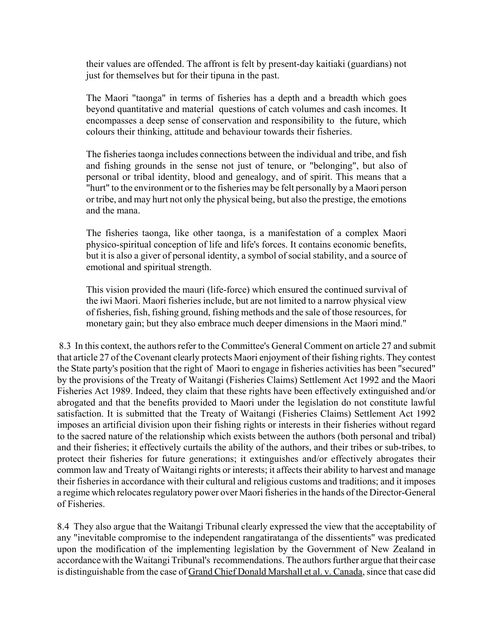their values are offended. The affront is felt by present-day kaitiaki (guardians) not just for themselves but for their tipuna in the past.

The Maori "taonga" in terms of fisheries has a depth and a breadth which goes beyond quantitative and material questions of catch volumes and cash incomes. It encompasses a deep sense of conservation and responsibility to the future, which colours their thinking, attitude and behaviour towards their fisheries.

The fisheries taonga includes connections between the individual and tribe, and fish and fishing grounds in the sense not just of tenure, or "belonging", but also of personal or tribal identity, blood and genealogy, and of spirit. This means that a "hurt" to the environment or to the fisheries may be felt personally by a Maori person or tribe, and may hurt not only the physical being, but also the prestige, the emotions and the mana.

The fisheries taonga, like other taonga, is a manifestation of a complex Maori physico-spiritual conception of life and life's forces. It contains economic benefits, but it is also a giver of personal identity, a symbol of social stability, and a source of emotional and spiritual strength.

This vision provided the mauri (life-force) which ensured the continued survival of the iwi Maori. Maori fisheries include, but are not limited to a narrow physical view of fisheries, fish, fishing ground, fishing methods and the sale of those resources, for monetary gain; but they also embrace much deeper dimensions in the Maori mind."

 8.3 In this context, the authors refer to the Committee's General Comment on article 27 and submit that article 27 of the Covenant clearly protects Maori enjoyment of their fishing rights. They contest the State party's position that the right of Maori to engage in fisheries activities has been "secured" by the provisions of the Treaty of Waitangi (Fisheries Claims) Settlement Act 1992 and the Maori Fisheries Act 1989. Indeed, they claim that these rights have been effectively extinguished and/or abrogated and that the benefits provided to Maori under the legislation do not constitute lawful satisfaction. It is submitted that the Treaty of Waitangi (Fisheries Claims) Settlement Act 1992 imposes an artificial division upon their fishing rights or interests in their fisheries without regard to the sacred nature of the relationship which exists between the authors (both personal and tribal) and their fisheries; it effectively curtails the ability of the authors, and their tribes or sub-tribes, to protect their fisheries for future generations; it extinguishes and/or effectively abrogates their common law and Treaty of Waitangi rights or interests; it affects their ability to harvest and manage their fisheries in accordance with their cultural and religious customs and traditions; and it imposes a regime which relocates regulatory power over Maori fisheries in the hands of the Director-General of Fisheries.

8.4 They also argue that the Waitangi Tribunal clearly expressed the view that the acceptability of any "inevitable compromise to the independent rangatiratanga of the dissentients" was predicated upon the modification of the implementing legislation by the Government of New Zealand in accordance with the Waitangi Tribunal's recommendations. The authors further argue that their case is distinguishable from the case of Grand Chief Donald Marshall et al. v. Canada, since that case did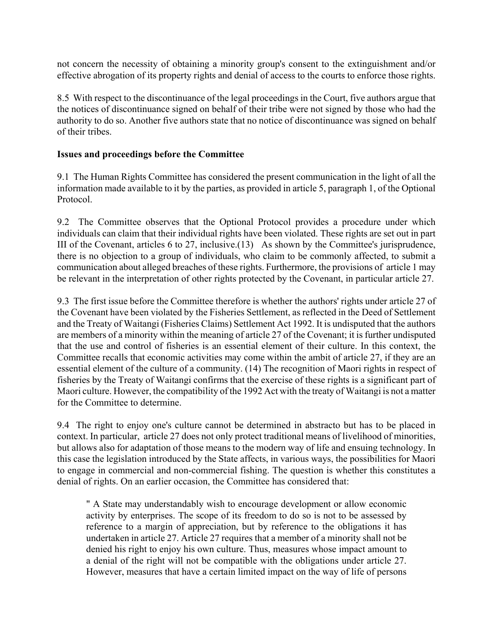not concern the necessity of obtaining a minority group's consent to the extinguishment and/or effective abrogation of its property rights and denial of access to the courts to enforce those rights.

8.5 With respect to the discontinuance of the legal proceedings in the Court, five authors argue that the notices of discontinuance signed on behalf of their tribe were not signed by those who had the authority to do so. Another five authors state that no notice of discontinuance was signed on behalf of their tribes.

## **Issues and proceedings before the Committee**

9.1 The Human Rights Committee has considered the present communication in the light of all the information made available to it by the parties, as provided in article 5, paragraph 1, of the Optional Protocol.

9.2 The Committee observes that the Optional Protocol provides a procedure under which individuals can claim that their individual rights have been violated. These rights are set out in part III of the Covenant, articles 6 to 27, inclusive.(13) As shown by the Committee's jurisprudence, there is no objection to a group of individuals, who claim to be commonly affected, to submit a communication about alleged breaches of these rights. Furthermore, the provisions of article 1 may be relevant in the interpretation of other rights protected by the Covenant, in particular article 27.

9.3 The first issue before the Committee therefore is whether the authors' rights under article 27 of the Covenant have been violated by the Fisheries Settlement, as reflected in the Deed of Settlement and the Treaty of Waitangi (Fisheries Claims) Settlement Act 1992. It is undisputed that the authors are members of a minority within the meaning of article 27 of the Covenant; it is further undisputed that the use and control of fisheries is an essential element of their culture. In this context, the Committee recalls that economic activities may come within the ambit of article 27, if they are an essential element of the culture of a community. (14) The recognition of Maori rights in respect of fisheries by the Treaty of Waitangi confirms that the exercise of these rights is a significant part of Maori culture. However, the compatibility of the 1992 Act with the treaty of Waitangi is not a matter for the Committee to determine.

9.4 The right to enjoy one's culture cannot be determined in abstracto but has to be placed in context. In particular, article 27 does not only protect traditional means of livelihood of minorities, but allows also for adaptation of those means to the modern way of life and ensuing technology. In this case the legislation introduced by the State affects, in various ways, the possibilities for Maori to engage in commercial and non-commercial fishing. The question is whether this constitutes a denial of rights. On an earlier occasion, the Committee has considered that:

" A State may understandably wish to encourage development or allow economic activity by enterprises. The scope of its freedom to do so is not to be assessed by reference to a margin of appreciation, but by reference to the obligations it has undertaken in article 27. Article 27 requires that a member of a minority shall not be denied his right to enjoy his own culture. Thus, measures whose impact amount to a denial of the right will not be compatible with the obligations under article 27. However, measures that have a certain limited impact on the way of life of persons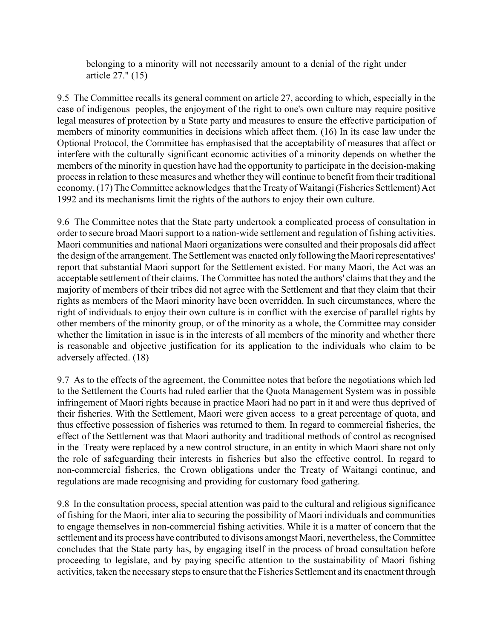belonging to a minority will not necessarily amount to a denial of the right under article 27." (15)

9.5 The Committee recalls its general comment on article 27, according to which, especially in the case of indigenous peoples, the enjoyment of the right to one's own culture may require positive legal measures of protection by a State party and measures to ensure the effective participation of members of minority communities in decisions which affect them. (16) In its case law under the Optional Protocol, the Committee has emphasised that the acceptability of measures that affect or interfere with the culturally significant economic activities of a minority depends on whether the members of the minority in question have had the opportunity to participate in the decision-making process in relation to these measures and whether they will continue to benefit from their traditional economy. (17) The Committee acknowledges that the Treaty of Waitangi (Fisheries Settlement) Act 1992 and its mechanisms limit the rights of the authors to enjoy their own culture.

9.6 The Committee notes that the State party undertook a complicated process of consultation in order to secure broad Maori support to a nation-wide settlement and regulation of fishing activities. Maori communities and national Maori organizations were consulted and their proposals did affect the design of the arrangement. The Settlement was enacted only following the Maori representatives' report that substantial Maori support for the Settlement existed. For many Maori, the Act was an acceptable settlement of their claims. The Committee has noted the authors' claims that they and the majority of members of their tribes did not agree with the Settlement and that they claim that their rights as members of the Maori minority have been overridden. In such circumstances, where the right of individuals to enjoy their own culture is in conflict with the exercise of parallel rights by other members of the minority group, or of the minority as a whole, the Committee may consider whether the limitation in issue is in the interests of all members of the minority and whether there is reasonable and objective justification for its application to the individuals who claim to be adversely affected. (18)

9.7 As to the effects of the agreement, the Committee notes that before the negotiations which led to the Settlement the Courts had ruled earlier that the Quota Management System was in possible infringement of Maori rights because in practice Maori had no part in it and were thus deprived of their fisheries. With the Settlement, Maori were given access to a great percentage of quota, and thus effective possession of fisheries was returned to them. In regard to commercial fisheries, the effect of the Settlement was that Maori authority and traditional methods of control as recognised in the Treaty were replaced by a new control structure, in an entity in which Maori share not only the role of safeguarding their interests in fisheries but also the effective control. In regard to non-commercial fisheries, the Crown obligations under the Treaty of Waitangi continue, and regulations are made recognising and providing for customary food gathering.

9.8 In the consultation process, special attention was paid to the cultural and religious significance of fishing for the Maori, inter alia to securing the possibility of Maori individuals and communities to engage themselves in non-commercial fishing activities. While it is a matter of concern that the settlement and its process have contributed to divisons amongst Maori, nevertheless, the Committee concludes that the State party has, by engaging itself in the process of broad consultation before proceeding to legislate, and by paying specific attention to the sustainability of Maori fishing activities, taken the necessary steps to ensure that the Fisheries Settlement and its enactment through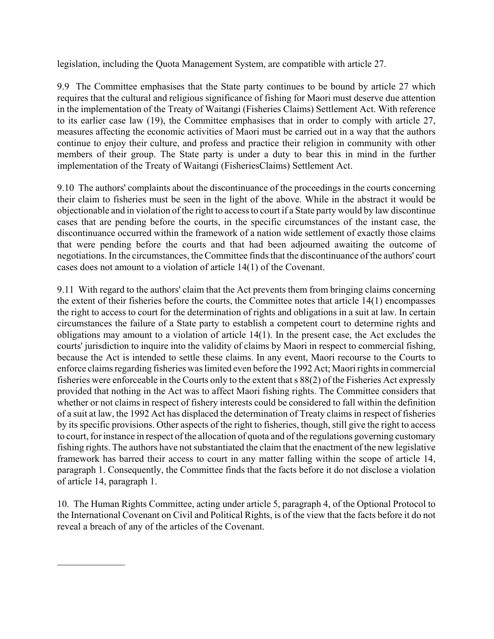legislation, including the Quota Management System, are compatible with article 27.

9.9 The Committee emphasises that the State party continues to be bound by article 27 which requires that the cultural and religious significance of fishing for Maori must deserve due attention in the implementation of the Treaty of Waitangi (Fisheries Claims) Settlement Act. With reference to its earlier case law (19), the Committee emphasises that in order to comply with article 27, measures affecting the economic activities of Maori must be carried out in a way that the authors continue to enjoy their culture, and profess and practice their religion in community with other members of their group. The State party is under a duty to bear this in mind in the further implementation of the Treaty of Waitangi (FisheriesClaims) Settlement Act.

9.10 The authors' complaints about the discontinuance of the proceedings in the courts concerning their claim to fisheries must be seen in the light of the above. While in the abstract it would be objectionable and in violation of the right to access to court if a State party would by law discontinue cases that are pending before the courts, in the specific circumstances of the instant case, the discontinuance occurred within the framework of a nation wide settlement of exactly those claims that were pending before the courts and that had been adjourned awaiting the outcome of negotiations. In the circumstances, the Committee finds that the discontinuance of the authors' court cases does not amount to a violation of article 14(1) of the Covenant.

9.11 With regard to the authors' claim that the Act prevents them from bringing claims concerning the extent of their fisheries before the courts, the Committee notes that article 14(1) encompasses the right to access to court for the determination of rights and obligations in a suit at law. In certain circumstances the failure of a State party to establish a competent court to determine rights and obligations may amount to a violation of article 14(1). In the present case, the Act excludes the courts' jurisdiction to inquire into the validity of claims by Maori in respect to commercial fishing, because the Act is intended to settle these claims. In any event, Maori recourse to the Courts to enforce claims regarding fisheries was limited even before the 1992 Act; Maori rights in commercial fisheries were enforceable in the Courts only to the extent that s 88(2) of the Fisheries Act expressly provided that nothing in the Act was to affect Maori fishing rights. The Committee considers that whether or not claims in respect of fishery interests could be considered to fall within the definition of a suit at law, the 1992 Act has displaced the determination of Treaty claims in respect of fisheries by its specific provisions. Other aspects of the right to fisheries, though, still give the right to access to court, for instance in respect of the allocation of quota and of the regulations governing customary fishing rights. The authors have not substantiated the claim that the enactment of the new legislative framework has barred their access to court in any matter falling within the scope of article 14, paragraph 1. Consequently, the Committee finds that the facts before it do not disclose a violation of article 14, paragraph 1.

10. The Human Rights Committee, acting under article 5, paragraph 4, of the Optional Protocol to the International Covenant on Civil and Political Rights, is of the view that the facts before it do not reveal a breach of any of the articles of the Covenant.

 $\frac{1}{2}$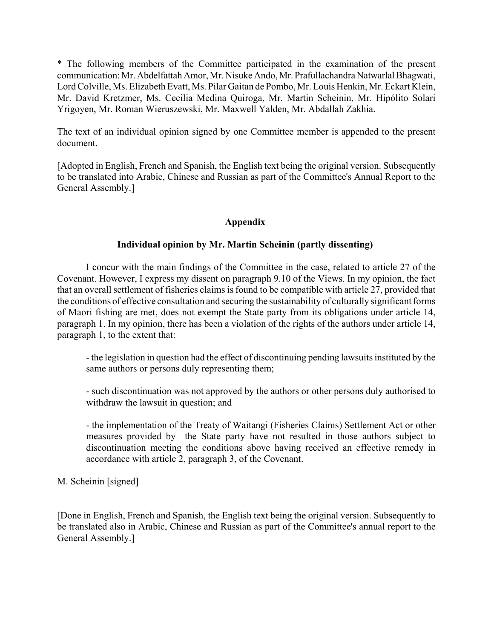\* The following members of the Committee participated in the examination of the present communication: Mr. Abdelfattah Amor, Mr. Nisuke Ando, Mr. Prafullachandra Natwarlal Bhagwati, Lord Colville, Ms. Elizabeth Evatt, Ms. Pilar Gaitan de Pombo, Mr. Louis Henkin, Mr. Eckart Klein, Mr. David Kretzmer, Ms. Cecilia Medina Quiroga, Mr. Martin Scheinin, Mr. Hipólito Solari Yrigoyen, Mr. Roman Wieruszewski, Mr. Maxwell Yalden, Mr. Abdallah Zakhia.

The text of an individual opinion signed by one Committee member is appended to the present document.

[Adopted in English, French and Spanish, the English text being the original version. Subsequently to be translated into Arabic, Chinese and Russian as part of the Committee's Annual Report to the General Assembly.]

### **Appendix**

#### **Individual opinion by Mr. Martin Scheinin (partly dissenting)**

I concur with the main findings of the Committee in the case, related to article 27 of the Covenant. However, I express my dissent on paragraph 9.10 of the Views. In my opinion, the fact that an overall settlement of fisheries claims is found to be compatible with article 27, provided that the conditions of effective consultation and securing the sustainability of culturally significant forms of Maori fishing are met, does not exempt the State party from its obligations under article 14, paragraph 1. In my opinion, there has been a violation of the rights of the authors under article 14, paragraph 1, to the extent that:

- the legislation in question had the effect of discontinuing pending lawsuits instituted by the same authors or persons duly representing them;

- such discontinuation was not approved by the authors or other persons duly authorised to withdraw the lawsuit in question; and

- the implementation of the Treaty of Waitangi (Fisheries Claims) Settlement Act or other measures provided by the State party have not resulted in those authors subject to discontinuation meeting the conditions above having received an effective remedy in accordance with article 2, paragraph 3, of the Covenant.

M. Scheinin [signed]

[Done in English, French and Spanish, the English text being the original version. Subsequently to be translated also in Arabic, Chinese and Russian as part of the Committee's annual report to the General Assembly.]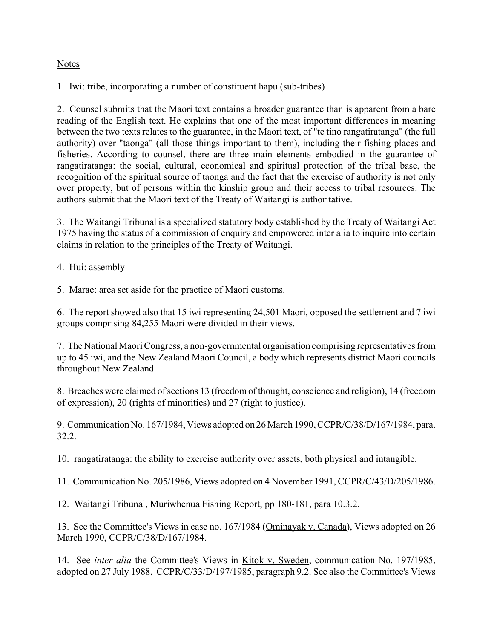## Notes

1. Iwi: tribe, incorporating a number of constituent hapu (sub-tribes)

2. Counsel submits that the Maori text contains a broader guarantee than is apparent from a bare reading of the English text. He explains that one of the most important differences in meaning between the two texts relates to the guarantee, in the Maori text, of "te tino rangatiratanga" (the full authority) over "taonga" (all those things important to them), including their fishing places and fisheries. According to counsel, there are three main elements embodied in the guarantee of rangatiratanga: the social, cultural, economical and spiritual protection of the tribal base, the recognition of the spiritual source of taonga and the fact that the exercise of authority is not only over property, but of persons within the kinship group and their access to tribal resources. The authors submit that the Maori text of the Treaty of Waitangi is authoritative.

3. The Waitangi Tribunal is a specialized statutory body established by the Treaty of Waitangi Act 1975 having the status of a commission of enquiry and empowered inter alia to inquire into certain claims in relation to the principles of the Treaty of Waitangi.

4. Hui: assembly

5. Marae: area set aside for the practice of Maori customs.

6. The report showed also that 15 iwi representing 24,501 Maori, opposed the settlement and 7 iwi groups comprising 84,255 Maori were divided in their views.

7. The National Maori Congress, a non-governmental organisation comprising representatives from up to 45 iwi, and the New Zealand Maori Council, a body which represents district Maori councils throughout New Zealand.

8. Breaches were claimed of sections 13 (freedom of thought, conscience and religion), 14 (freedom of expression), 20 (rights of minorities) and 27 (right to justice).

9. Communication No. 167/1984, Views adopted on 26 March 1990, CCPR/C/38/D/167/1984, para. 32.2.

10. rangatiratanga: the ability to exercise authority over assets, both physical and intangible.

11. Communication No. 205/1986, Views adopted on 4 November 1991, CCPR/C/43/D/205/1986.

12. Waitangi Tribunal, Muriwhenua Fishing Report, pp 180-181, para 10.3.2.

13. See the Committee's Views in case no. 167/1984 (Ominayak v. Canada), Views adopted on 26 March 1990, CCPR/C/38/D/167/1984.

14. See *inter alia* the Committee's Views in Kitok v. Sweden, communication No. 197/1985, adopted on 27 July 1988, CCPR/C/33/D/197/1985, paragraph 9.2. See also the Committee's Views